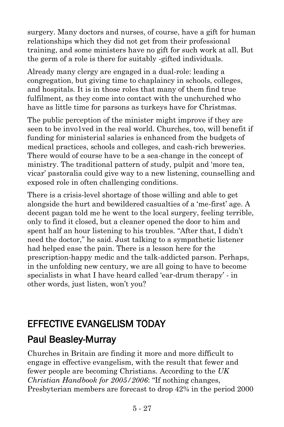surgery. Many doctors and nurses, of course, have a gift for human relationships which they did not get from their professional training, and some ministers have no gift for such work at all. But the germ of a role is there for suitably -gifted individuals.

Already many clergy are engaged in a dual-role: leading a congregation, but giving time to chaplaincy in schools, colleges, and hospitals. It is in those roles that many of them find true fulfilment, as they come into contact with the unchurched who have as little time for parsons as turkeys have for Christmas.

The public perception of the minister might improve if they are seen to be invo1ved in the real world. Churches, too, will benefit if funding for ministerial salaries is enhanced from the budgets of medical practices, schools and colleges, and cash-rich breweries. There would of course have to be a sea-change in the concept of ministry. The traditional pattern of study, pulpit and 'more tea, vicar' pastoralia could give way to a new listening, counselling and exposed role in often challenging conditions.

There is a crisis-level shortage of those willing and able to get alongside the hurt and bewildered casualties of a 'me-first' age. A decent pagan told me he went to the local surgery, feeling terrible, only to find it closed, but a cleaner opened the door to him and spent half an hour listening to his troubles. "After that, I didn't need the doctor," he said. Just talking to a sympathetic listener had helped ease the pain. There is a lesson here for the prescription-happy medic and the talk-addicted parson. Perhaps, in the unfolding new century, we are all going to have to become specialists in what I have heard called 'ear-drum therapy' - in other words, just listen, won't you?

# EFFECTIVE EVANGELISM TODAY

# [Paul Beasley-Murray](https://www.ministrytoday.org.uk/magazine/authors/423/)

Churches in Britain are finding it more and more difficult to engage in effective evangelism, with the result that fewer and fewer people are becoming Christians. According to the *UK Christian Handbook for 2005/2006*: "If nothing changes, Presbyterian members are forecast to drop 42% in the period 2000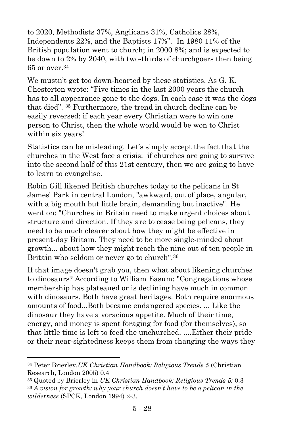to 2020, Methodists 37%, Anglicans 31%, Catholics 28%, Independents 22%, and the Baptists 17%". In 1980 11% of the British population went to church; in 2000 8%; and is expected to be down to 2% by 2040, with two-thirds of churchgoers then being 65 or over.<sup>34</sup>

We mustn't get too down-hearted by these statistics. As G. K. Chesterton wrote: "Five times in the last 2000 years the church has to all appearance gone to the dogs. In each case it was the dogs that died". <sup>35</sup> Furthermore, the trend in church decline can be easily reversed: if each year every Christian were to win one person to Christ, then the whole world would be won to Christ within six years!

Statistics can be misleading. Let's simply accept the fact that the churches in the West face a crisis: if churches are going to survive into the second half of this 21st century, then we are going to have to learn to evangelise.

Robin Gill likened British churches today to the pelicans in St James' Park in central London, "awkward, out of place, angular, with a big mouth but little brain, demanding but inactive". He went on: "Churches in Britain need to make urgent choices about structure and direction. If they are to cease being pelicans, they need to be much clearer about how they might be effective in present-day Britain. They need to be more single-minded about growth... about how they might reach the nine out of ten people in Britain who seldom or never go to church".<sup>36</sup>

If that image doesn't grab you, then what about likening churches to dinosaurs? According to William Easum: "Congregations whose membership has plateaued or is declining have much in common with dinosaurs. Both have great heritages. Both require enormous amounts of food...Both became endangered species. ... Like the dinosaur they have a voracious appetite. Much of their time, energy, and money is spent foraging for food (for themselves), so that little time is left to feed the unchurched. ....Either their pride or their near-sightedness keeps them from changing the ways they

 $\overline{a}$ 

<sup>34</sup> Peter Brierley.*UK Christian Handbook: Religious Trends 5* (Christian Research, London 2005) 0.4

<sup>35</sup> Quoted by Brierley in *UK Christian Handbook: Religious Trends 5:* 0.3 <sup>36</sup> *A vision for growth: why your church doesn't have to be a pelican in the wilderness* (SPCK, London 1994) 2-3.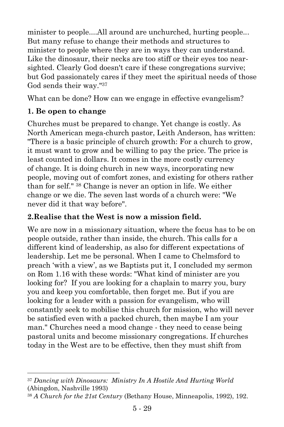minister to people....All around are unchurched, hurting people... But many refuse to change their methods and structures to minister to people where they are in ways they can understand. Like the dinosaur, their necks are too stiff or their eyes too nearsighted. Clearly God doesn't care if these congregations survive; but God passionately cares if they meet the spiritual needs of those God sends their way." 37

What can be done? How can we engage in effective evangelism?

#### **1. Be open to change**

l

Churches must be prepared to change. Yet change is costly. As North American mega-church pastor, Leith Anderson, has written: "There is a basic principle of church growth: For a church to grow, it must want to grow and be willing to pay the price. The price is least counted in dollars. It comes in the more costly currency of change. It is doing church in new ways, incorporating new people, moving out of comfort zones, and existing for others rather than for self." <sup>38</sup> Change is never an option in life. We either change or we die. The seven last words of a church were: "We never did it that way before".

#### **2.Realise that the West is now a mission field.**

We are now in a missionary situation, where the focus has to be on people outside, rather than inside, the church. This calls for a different kind of leadership, as also for different expectations of leadership. Let me be personal. When I came to Chelmsford to preach 'with a view', as we Baptists put it, I concluded my sermon on Rom 1.16 with these words: "What kind of minister are you looking for? If you are looking for a chaplain to marry you, bury you and keep you comfortable, then forget me. But if you are looking for a leader with a passion for evangelism, who will constantly seek to mobilise this church for mission, who will never be satisfied even with a packed church, then maybe I am your man." Churches need a mood change - they need to cease being pastoral units and become missionary congregations. If churches today in the West are to be effective, then they must shift from

<sup>37</sup> *Dancing with Dinosaurs: Ministry In A Hostile And Hurting World* (Abingdon, Nashville 1993)

<sup>38</sup> *A Church for the 21st Century* (Bethany House, Minneapolis, 1992), 192.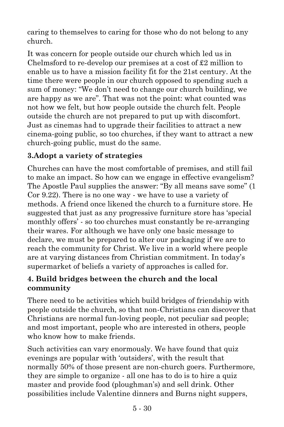caring to themselves to caring for those who do not belong to any church.

It was concern for people outside our church which led us in Chelmsford to re-develop our premises at a cost of £2 million to enable us to have a mission facility fit for the 21st century. At the time there were people in our church opposed to spending such a sum of money: "We don't need to change our church building, we are happy as we are". That was not the point: what counted was not how we felt, but how people outside the church felt. People outside the church are not prepared to put up with discomfort. Just as cinemas had to upgrade their facilities to attract a new cinema-going public, so too churches, if they want to attract a new church-going public, must do the same.

#### **3.Adopt a variety of strategies**

Churches can have the most comfortable of premises, and still fail to make an impact. So how can we engage in effective evangelism? The Apostle Paul supplies the answer: "By all means save some" (1 Cor 9.22). There is no one way - we have to use a variety of methods. A friend once likened the church to a furniture store. He suggested that just as any progressive furniture store has 'special monthly offers' - so too churches must constantly be re-arranging their wares. For although we have only one basic message to declare, we must be prepared to alter our packaging if we are to reach the community for Christ. We live in a world where people are at varying distances from Christian commitment. In today's supermarket of beliefs a variety of approaches is called for.

#### **4. Build bridges between the church and the local community**

There need to be activities which build bridges of friendship with people outside the church, so that non-Christians can discover that Christians are normal fun-loving people, not peculiar sad people; and most important, people who are interested in others, people who know how to make friends.

Such activities can vary enormously. We have found that quiz evenings are popular with 'outsiders', with the result that normally 50% of those present are non-church goers. Furthermore, they are simple to organize - all one has to do is to hire a quiz master and provide food (ploughman's) and sell drink. Other possibilities include Valentine dinners and Burns night suppers,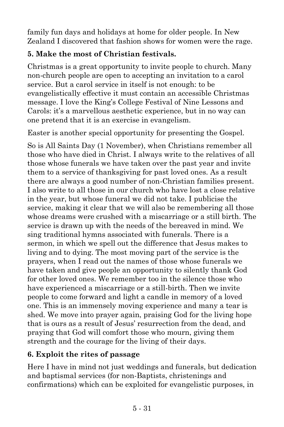family fun days and holidays at home for older people. In New Zealand I discovered that fashion shows for women were the rage.

## **5. Make the most of Christian festivals.**

Christmas is a great opportunity to invite people to church. Many non-church people are open to accepting an invitation to a carol service. But a carol service in itself is not enough: to be evangelistically effective it must contain an accessible Christmas message. I love the King's College Festival of Nine Lessons and Carols: it's a marvellous aesthetic experience, but in no way can one pretend that it is an exercise in evangelism.

Easter is another special opportunity for presenting the Gospel.

So is All Saints Day (1 November), when Christians remember all those who have died in Christ. I always write to the relatives of all those whose funerals we have taken over the past year and invite them to a service of thanksgiving for past loved ones. As a result there are always a good number of non-Christian families present. I also write to all those in our church who have lost a close relative in the year, but whose funeral we did not take. I publicise the service, making it clear that we will also be remembering all those whose dreams were crushed with a miscarriage or a still birth. The service is drawn up with the needs of the bereaved in mind. We sing traditional hymns associated with funerals. There is a sermon, in which we spell out the difference that Jesus makes to living and to dying. The most moving part of the service is the prayers, when I read out the names of those whose funerals we have taken and give people an opportunity to silently thank God for other loved ones. We remember too in the silence those who have experienced a miscarriage or a still-birth. Then we invite people to come forward and light a candle in memory of a loved one. This is an immensely moving experience and many a tear is shed. We move into prayer again, praising God for the living hope that is ours as a result of Jesus' resurrection from the dead, and praying that God will comfort those who mourn, giving them strength and the courage for the living of their days.

## **6. Exploit the rites of passage**

Here I have in mind not just weddings and funerals, but dedication and baptismal services (for non-Baptists, christenings and confirmations) which can be exploited for evangelistic purposes, in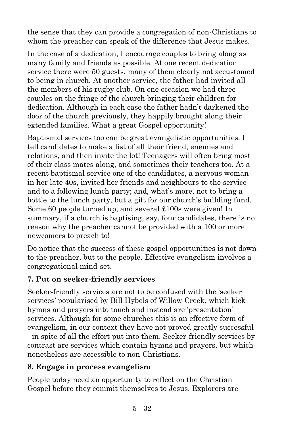the sense that they can provide a congregation of non-Christians to whom the preacher can speak of the difference that Jesus makes.

In the case of a dedication, I encourage couples to bring along as many family and friends as possible. At one recent dedication service there were 50 guests, many of them clearly not accustomed to being in church. At another service, the father had invited all the members of his rugby club. On one occasion we had three couples on the fringe of the church bringing their children for dedication. Although in each case the father hadn't darkened the door of the church previously, they happily brought along their extended families. What a great Gospel opportunity!

Baptismal services too can be great evangelistic opportunities. I tell candidates to make a list of all their friend, enemies and relations, and then invite the lot! Teenagers will often bring most of their class mates along, and sometimes their teachers too. At a recent baptismal service one of the candidates, a nervous woman in her late 40s, invited her friends and neighbours to the service and to a following lunch party; and, what's more, not to bring a bottle to the lunch party, but a gift for our church's building fund. Some 60 people turned up, and several £100s were given! In summary, if a church is baptising, say, four candidates, there is no reason why the preacher cannot be provided with a 100 or more newcomers to preach to!

Do notice that the success of these gospel opportunities is not down to the preacher, but to the people. Effective evangelism involves a congregational mind-set.

#### **7. Put on seeker-friendly services**

Seeker-friendly services are not to be confused with the 'seeker services' popularised by Bill Hybels of Willow Creek, which kick hymns and prayers into touch and instead are 'presentation' services. Although for some churches this is an effective form of evangelism, in our context they have not proved greatly successful - in spite of all the effort put into them. Seeker-friendly services by contrast are services which contain hymns and prayers, but which nonetheless are accessible to non-Christians.

#### **8. Engage in process evangelism**

People today need an opportunity to reflect on the Christian Gospel before they commit themselves to Jesus. Explorers are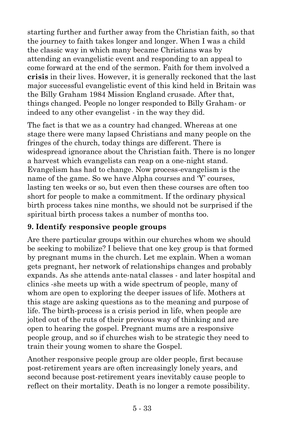starting further and further away from the Christian faith, so that the journey to faith takes longer and longer. When I was a child the classic way in which many became Christians was by attending an evangelistic event and responding to an appeal to come forward at the end of the sermon. Faith for them involved a **crisis** in their lives. However, it is generally reckoned that the last major successful evangelistic event of this kind held in Britain was the Billy Graham 1984 Mission England crusade. After that, things changed. People no longer responded to Billy Graham- or indeed to any other evangelist - in the way they did.

The fact is that we as a country had changed. Whereas at one stage there were many lapsed Christians and many people on the fringes of the church, today things are different. There is widespread ignorance about the Christian faith. There is no longer a harvest which evangelists can reap on a one-night stand. Evangelism has had to change. Now process-evangelism is the name of the game. So we have Alpha courses and 'Y' courses, lasting ten weeks or so, but even then these courses are often too short for people to make a commitment. If the ordinary physical birth process takes nine months, we should not be surprised if the spiritual birth process takes a number of months too.

#### **9. Identify responsive people groups**

Are there particular groups within our churches whom we should be seeking to mobilize? I believe that one key group is that formed by pregnant mums in the church. Let me explain. When a woman gets pregnant, her network of relationships changes and probably expands. As she attends ante-natal classes - and later hospital and clinics -she meets up with a wide spectrum of people, many of whom are open to exploring the deeper issues of life. Mothers at this stage are asking questions as to the meaning and purpose of life. The birth-process is a crisis period in life, when people are jolted out of the ruts of their previous way of thinking and are open to hearing the gospel. Pregnant mums are a responsive people group, and so if churches wish to be strategic they need to train their young women to share the Gospel.

Another responsive people group are older people, first because post-retirement years are often increasingly lonely years, and second because post-retirement years inevitably cause people to reflect on their mortality. Death is no longer a remote possibility.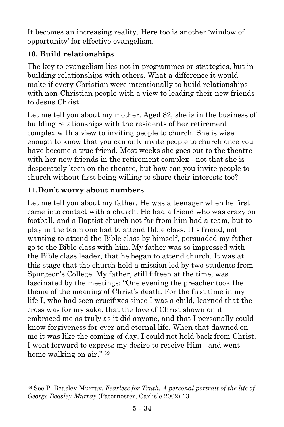It becomes an increasing reality. Here too is another 'window of opportunity' for effective evangelism.

# **10. Build relationships**

The key to evangelism lies not in programmes or strategies, but in building relationships with others. What a difference it would make if every Christian were intentionally to build relationships with non-Christian people with a view to leading their new friends to Jesus Christ.

Let me tell you about my mother. Aged 82, she is in the business of building relationships with the residents of her retirement complex with a view to inviting people to church. She is wise enough to know that you can only invite people to church once you have become a true friend. Most weeks she goes out to the theatre with her new friends in the retirement complex - not that she is desperately keen on the theatre, but how can you invite people to church without first being willing to share their interests too?

## **11.Don't worry about numbers**

Let me tell you about my father. He was a teenager when he first came into contact with a church. He had a friend who was crazy on football, and a Baptist church not far from him had a team, but to play in the team one had to attend Bible class. His friend, not wanting to attend the Bible class by himself, persuaded my father go to the Bible class with him. My father was so impressed with the Bible class leader, that he began to attend church. It was at this stage that the church held a mission led by two students from Spurgeon's College. My father, still fifteen at the time, was fascinated by the meetings: "One evening the preacher took the theme of the meaning of Christ's death. For the first time in my life I, who had seen crucifixes since I was a child, learned that the cross was for my sake, that the love of Christ shown on it embraced me as truly as it did anyone, and that I personally could know forgiveness for ever and eternal life. When that dawned on me it was like the coming of day. I could not hold back from Christ. I went forward to express my desire to receive Him - and went home walking on air." <sup>39</sup>

l <sup>39</sup> See P. Beasley-Murray, *Fearless for Truth: A personal portrait of the life of George Beasley-Murray* (Paternoster, Carlisle 2002) 13